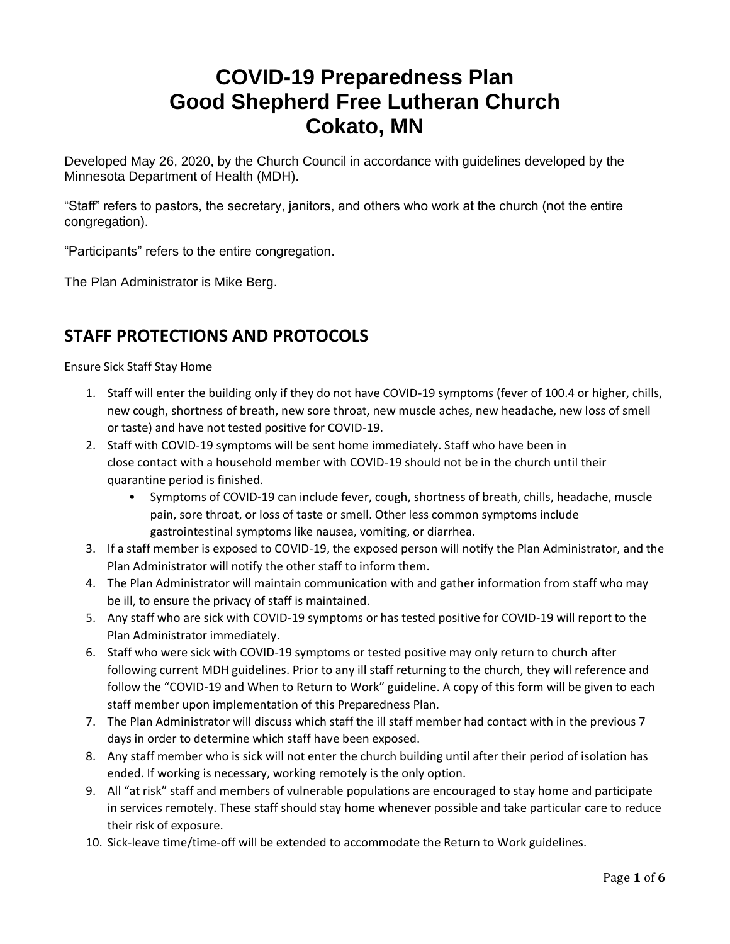# **COVID-19 Preparedness Plan Good Shepherd Free Lutheran Church Cokato, MN**

Developed May 26, 2020, by the Church Council in accordance with guidelines developed by the Minnesota Department of Health (MDH).

"Staff" refers to pastors, the secretary, janitors, and others who work at the church (not the entire congregation).

"Participants" refers to the entire congregation.

The Plan Administrator is Mike Berg.

# **STAFF PROTECTIONS AND PROTOCOLS**

#### Ensure Sick Staff Stay Home

- 1. Staff will enter the building only if they do not have COVID-19 symptoms (fever of 100.4 or higher, chills, new cough, shortness of breath, new sore throat, new muscle aches, new headache, new loss of smell or taste) and have not tested positive for COVID-19.
- 2. Staff with COVID-19 symptoms will be sent home immediately. Staff who have been in close contact with a household member with COVID-19 should not be in the church until their quarantine period is finished.
	- Symptoms of COVID-19 can include fever, cough, shortness of breath, chills, headache, muscle pain, sore throat, or loss of taste or smell. Other less common symptoms include gastrointestinal symptoms like nausea, vomiting, or diarrhea.
- 3. If a staff member is exposed to COVID-19, the exposed person will notify the Plan Administrator, and the Plan Administrator will notify the other staff to inform them.
- 4. The Plan Administrator will maintain communication with and gather information from staff who may be ill, to ensure the privacy of staff is maintained.
- 5. Any staff who are sick with COVID-19 symptoms or has tested positive for COVID-19 will report to the Plan Administrator immediately.
- 6. Staff who were sick with COVID-19 symptoms or tested positive may only return to church after following current MDH guidelines. Prior to any ill staff returning to the church, they will reference and follow the "COVID-19 and When to Return to Work" guideline. A copy of this form will be given to each staff member upon implementation of this Preparedness Plan.
- 7. The Plan Administrator will discuss which staff the ill staff member had contact with in the previous 7 days in order to determine which staff have been exposed.
- 8. Any staff member who is sick will not enter the church building until after their period of isolation has ended. If working is necessary, working remotely is the only option.
- 9. All "at risk" staff and members of vulnerable populations are encouraged to stay home and participate in services remotely. These staff should stay home whenever possible and take particular care to reduce their risk of exposure.
- 10. Sick-leave time/time-off will be extended to accommodate the Return to Work guidelines.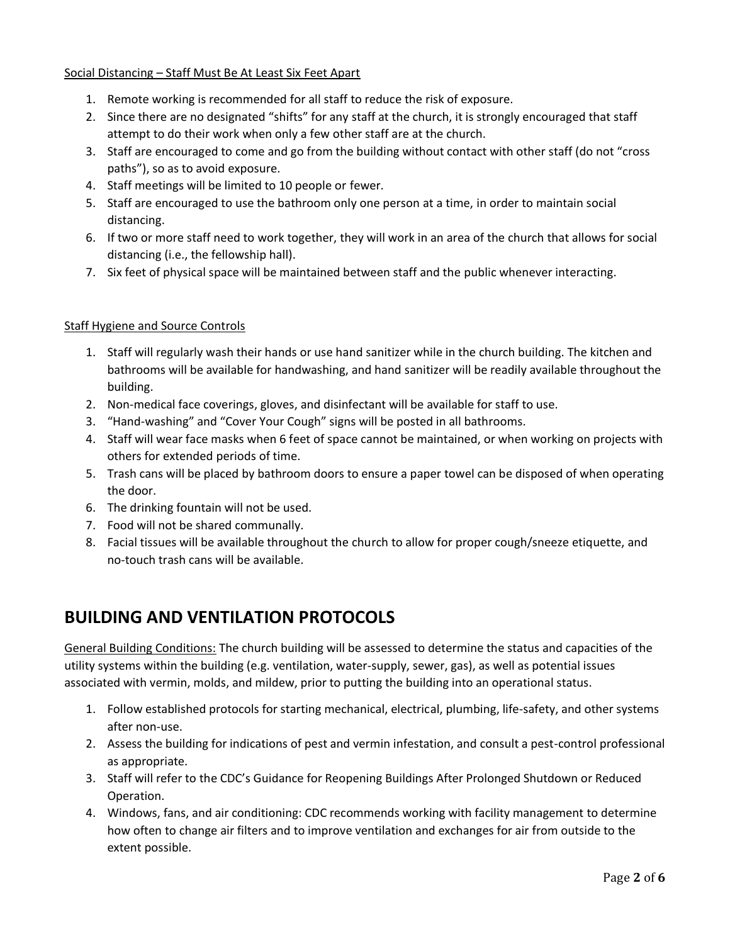#### Social Distancing – Staff Must Be At Least Six Feet Apart

- 1. Remote working is recommended for all staff to reduce the risk of exposure.
- 2. Since there are no designated "shifts" for any staff at the church, it is strongly encouraged that staff attempt to do their work when only a few other staff are at the church.
- 3. Staff are encouraged to come and go from the building without contact with other staff (do not "cross paths"), so as to avoid exposure.
- 4. Staff meetings will be limited to 10 people or fewer.
- 5. Staff are encouraged to use the bathroom only one person at a time, in order to maintain social distancing.
- 6. If two or more staff need to work together, they will work in an area of the church that allows for social distancing (i.e., the fellowship hall).
- 7. Six feet of physical space will be maintained between staff and the public whenever interacting.

#### Staff Hygiene and Source Controls

- 1. Staff will regularly wash their hands or use hand sanitizer while in the church building. The kitchen and bathrooms will be available for handwashing, and hand sanitizer will be readily available throughout the building.
- 2. Non-medical face coverings, gloves, and disinfectant will be available for staff to use.
- 3. "Hand-washing" and "Cover Your Cough" signs will be posted in all bathrooms.
- 4. Staff will wear face masks when 6 feet of space cannot be maintained, or when working on projects with others for extended periods of time.
- 5. Trash cans will be placed by bathroom doors to ensure a paper towel can be disposed of when operating the door.
- 6. The drinking fountain will not be used.
- 7. Food will not be shared communally.
- 8. Facial tissues will be available throughout the church to allow for proper cough/sneeze etiquette, and no-touch trash cans will be available.

### **BUILDING AND VENTILATION PROTOCOLS**

General Building Conditions: The church building will be assessed to determine the status and capacities of the utility systems within the building (e.g. ventilation, water-supply, sewer, gas), as well as potential issues associated with vermin, molds, and mildew, prior to putting the building into an operational status.

- 1. Follow established protocols for starting mechanical, electrical, plumbing, life-safety, and other systems after non-use.
- 2. Assess the building for indications of pest and vermin infestation, and consult a pest-control professional as appropriate.
- 3. Staff will refer to the CDC's Guidance for Reopening Buildings After Prolonged Shutdown or Reduced Operation.
- 4. Windows, fans, and air conditioning: CDC recommends working with facility management to determine how often to change air filters and to improve ventilation and exchanges for air from outside to the extent possible.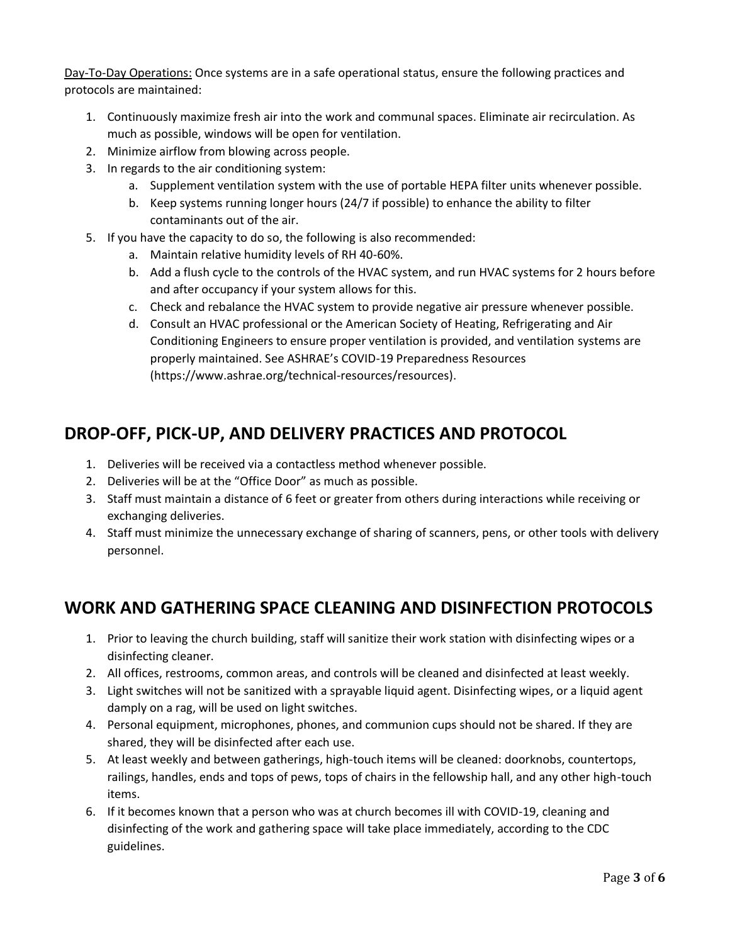Day-To-Day Operations: Once systems are in a safe operational status, ensure the following practices and protocols are maintained:

- 1. Continuously maximize fresh air into the work and communal spaces. Eliminate air recirculation. As much as possible, windows will be open for ventilation.
- 2. Minimize airflow from blowing across people.
- 3. In regards to the air conditioning system:
	- a. Supplement ventilation system with the use of portable HEPA filter units whenever possible.
	- b. Keep systems running longer hours (24/7 if possible) to enhance the ability to filter contaminants out of the air.
- 5. If you have the capacity to do so, the following is also recommended:
	- a. Maintain relative humidity levels of RH 40-60%.
	- b. Add a flush cycle to the controls of the HVAC system, and run HVAC systems for 2 hours before and after occupancy if your system allows for this.
	- c. Check and rebalance the HVAC system to provide negative air pressure whenever possible.
	- d. Consult an HVAC professional or the American Society of Heating, Refrigerating and Air Conditioning Engineers to ensure proper ventilation is provided, and ventilation systems are properly maintained. See ASHRAE's COVID-19 Preparedness Resources (https://www.ashrae.org/technical-resources/resources).

# **DROP-OFF, PICK-UP, AND DELIVERY PRACTICES AND PROTOCOL**

- 1. Deliveries will be received via a contactless method whenever possible.
- 2. Deliveries will be at the "Office Door" as much as possible.
- 3. Staff must maintain a distance of 6 feet or greater from others during interactions while receiving or exchanging deliveries.
- 4. Staff must minimize the unnecessary exchange of sharing of scanners, pens, or other tools with delivery personnel.

### **WORK AND GATHERING SPACE CLEANING AND DISINFECTION PROTOCOLS**

- 1. Prior to leaving the church building, staff will sanitize their work station with disinfecting wipes or a disinfecting cleaner.
- 2. All offices, restrooms, common areas, and controls will be cleaned and disinfected at least weekly.
- 3. Light switches will not be sanitized with a sprayable liquid agent. Disinfecting wipes, or a liquid agent damply on a rag, will be used on light switches.
- 4. Personal equipment, microphones, phones, and communion cups should not be shared. If they are shared, they will be disinfected after each use.
- 5. At least weekly and between gatherings, high-touch items will be cleaned: doorknobs, countertops, railings, handles, ends and tops of pews, tops of chairs in the fellowship hall, and any other high-touch items.
- 6. If it becomes known that a person who was at church becomes ill with COVID-19, cleaning and disinfecting of the work and gathering space will take place immediately, according to the CDC guidelines.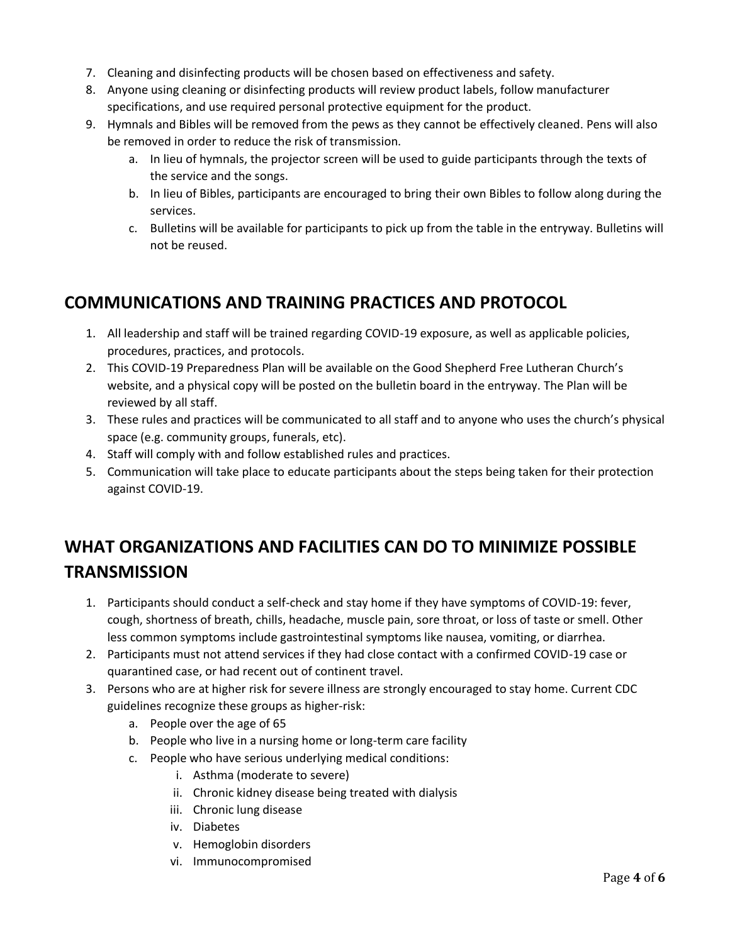- 7. Cleaning and disinfecting products will be chosen based on effectiveness and safety.
- 8. Anyone using cleaning or disinfecting products will review product labels, follow manufacturer specifications, and use required personal protective equipment for the product.
- 9. Hymnals and Bibles will be removed from the pews as they cannot be effectively cleaned. Pens will also be removed in order to reduce the risk of transmission.
	- a. In lieu of hymnals, the projector screen will be used to guide participants through the texts of the service and the songs.
	- b. In lieu of Bibles, participants are encouraged to bring their own Bibles to follow along during the services.
	- c. Bulletins will be available for participants to pick up from the table in the entryway. Bulletins will not be reused.

### **COMMUNICATIONS AND TRAINING PRACTICES AND PROTOCOL**

- 1. All leadership and staff will be trained regarding COVID-19 exposure, as well as applicable policies, procedures, practices, and protocols.
- 2. This COVID-19 Preparedness Plan will be available on the Good Shepherd Free Lutheran Church's website, and a physical copy will be posted on the bulletin board in the entryway. The Plan will be reviewed by all staff.
- 3. These rules and practices will be communicated to all staff and to anyone who uses the church's physical space (e.g. community groups, funerals, etc).
- 4. Staff will comply with and follow established rules and practices.
- 5. Communication will take place to educate participants about the steps being taken for their protection against COVID-19.

# **WHAT ORGANIZATIONS AND FACILITIES CAN DO TO MINIMIZE POSSIBLE TRANSMISSION**

- 1. Participants should conduct a self-check and stay home if they have symptoms of COVID-19: fever, cough, shortness of breath, chills, headache, muscle pain, sore throat, or loss of taste or smell. Other less common symptoms include gastrointestinal symptoms like nausea, vomiting, or diarrhea.
- 2. Participants must not attend services if they had close contact with a confirmed COVID-19 case or quarantined case, or had recent out of continent travel.
- 3. Persons who are at higher risk for severe illness are strongly encouraged to stay home. Current CDC guidelines recognize these groups as higher-risk:
	- a. People over the age of 65
	- b. People who live in a nursing home or long-term care facility
	- c. People who have serious underlying medical conditions:
		- i. Asthma (moderate to severe)
		- ii. Chronic kidney disease being treated with dialysis
		- iii. Chronic lung disease
		- iv. Diabetes
		- v. Hemoglobin disorders
		- vi. Immunocompromised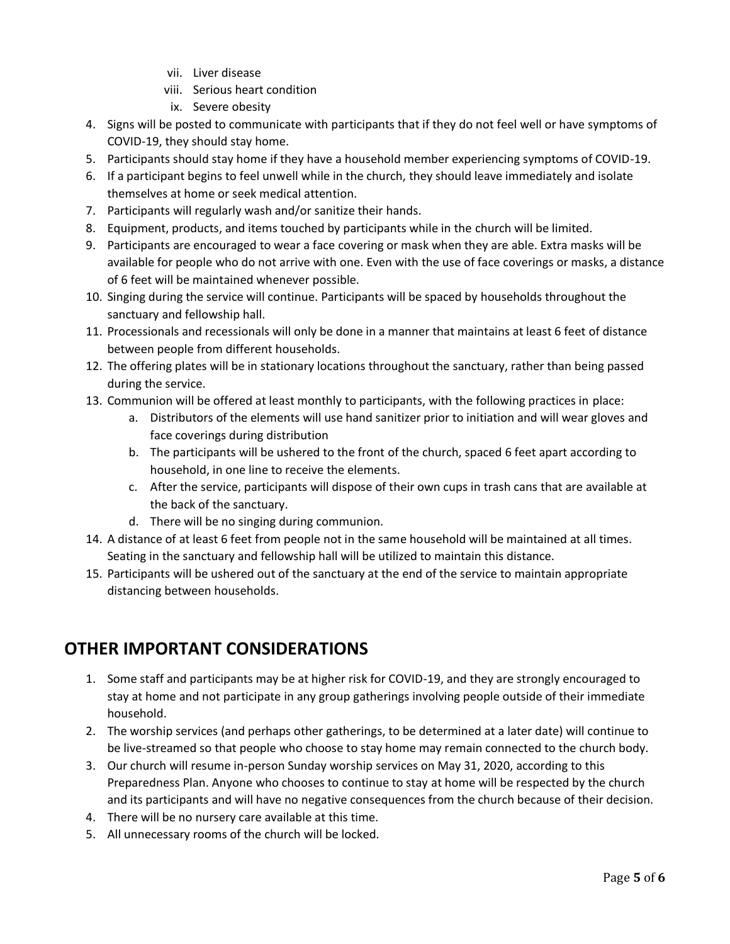- vii. Liver disease
- viii. Serious heart condition
- ix. Severe obesity
- 4. Signs will be posted to communicate with participants that if they do not feel well or have symptoms of COVID-19, they should stay home.
- 5. Participants should stay home if they have a household member experiencing symptoms of COVID-19.
- 6. If a participant begins to feel unwell while in the church, they should leave immediately and isolate themselves at home or seek medical attention.
- 7. Participants will regularly wash and/or sanitize their hands.
- 8. Equipment, products, and items touched by participants while in the church will be limited.
- 9. Participants are encouraged to wear a face covering or mask when they are able. Extra masks will be available for people who do not arrive with one. Even with the use of face coverings or masks, a distance of 6 feet will be maintained whenever possible.
- 10. Singing during the service will continue. Participants will be spaced by households throughout the sanctuary and fellowship hall.
- 11. Processionals and recessionals will only be done in a manner that maintains at least 6 feet of distance between people from different households.
- 12. The offering plates will be in stationary locations throughout the sanctuary, rather than being passed during the service.
- 13. Communion will be offered at least monthly to participants, with the following practices in place:
	- a. Distributors of the elements will use hand sanitizer prior to initiation and will wear gloves and face coverings during distribution
	- b. The participants will be ushered to the front of the church, spaced 6 feet apart according to household, in one line to receive the elements.
	- c. After the service, participants will dispose of their own cups in trash cans that are available at the back of the sanctuary.
	- d. There will be no singing during communion.
- 14. A distance of at least 6 feet from people not in the same household will be maintained at all times. Seating in the sanctuary and fellowship hall will be utilized to maintain this distance.
- 15. Participants will be ushered out of the sanctuary at the end of the service to maintain appropriate distancing between households.

### **OTHER IMPORTANT CONSIDERATIONS**

- 1. Some staff and participants may be at higher risk for COVID-19, and they are strongly encouraged to stay at home and not participate in any group gatherings involving people outside of their immediate household.
- 2. The worship services (and perhaps other gatherings, to be determined at a later date) will continue to be live-streamed so that people who choose to stay home may remain connected to the church body.
- 3. Our church will resume in-person Sunday worship services on May 31, 2020, according to this Preparedness Plan. Anyone who chooses to continue to stay at home will be respected by the church and its participants and will have no negative consequences from the church because of their decision.
- 4. There will be no nursery care available at this time.
- 5. All unnecessary rooms of the church will be locked.